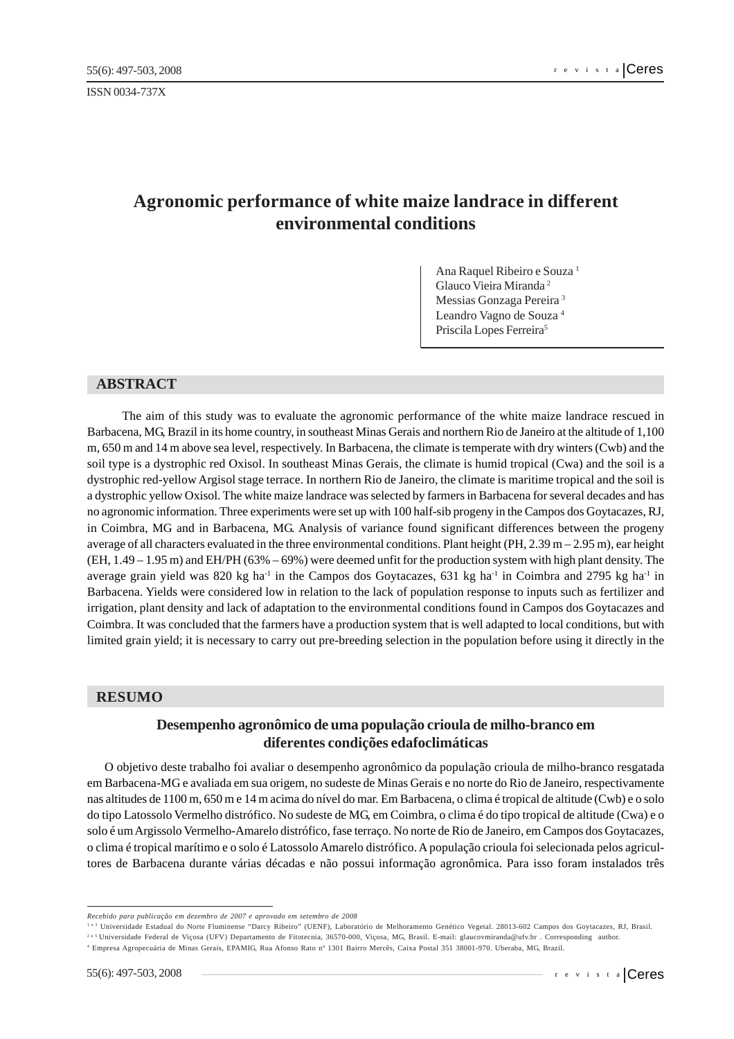ISSN 0034-737X

# **Agronomic performance of white maize landrace in different environmental conditions**

Ana Raquel Ribeiro e Souza 1 Glauco Vieira Miranda 2 Messias Gonzaga Pereira 3 Leandro Vagno de Souza 4 Priscila Lopes Ferreira<sup>5</sup>

#### **ABSTRACT**

The aim of this study was to evaluate the agronomic performance of the white maize landrace rescued in Barbacena, MG, Brazil in its home country, in southeast Minas Gerais and northern Rio de Janeiro at the altitude of 1,100 m, 650 m and 14 m above sea level, respectively. In Barbacena, the climate is temperate with dry winters (Cwb) and the soil type is a dystrophic red Oxisol. In southeast Minas Gerais, the climate is humid tropical (Cwa) and the soil is a dystrophic red-yellow Argisol stage terrace. In northern Rio de Janeiro, the climate is maritime tropical and the soil is a dystrophic yellow Oxisol. The white maize landrace was selected by farmers in Barbacena for several decades and has no agronomic information. Three experiments were set up with 100 half-sib progeny in the Campos dos Goytacazes, RJ, in Coimbra, MG and in Barbacena, MG. Analysis of variance found significant differences between the progeny average of all characters evaluated in the three environmental conditions. Plant height (PH,  $2.39 \text{ m} - 2.95 \text{ m}$ ), ear height (EH, 1.49 – 1.95 m) and EH/PH (63% – 69%) were deemed unfit for the production system with high plant density. The average grain yield was 820 kg ha<sup>-1</sup> in the Campos dos Goytacazes, 631 kg ha<sup>-1</sup> in Coimbra and 2795 kg ha<sup>-1</sup> in Barbacena. Yields were considered low in relation to the lack of population response to inputs such as fertilizer and irrigation, plant density and lack of adaptation to the environmental conditions found in Campos dos Goytacazes and Coimbra. It was concluded that the farmers have a production system that is well adapted to local conditions, but with limited grain yield; it is necessary to carry out pre-breeding selection in the population before using it directly in the

## **RESUMO**

# **Desempenho agronômico de uma população crioula de milho-branco em diferentes condições edafoclimáticas**

O objetivo deste trabalho foi avaliar o desempenho agronômico da população crioula de milho-branco resgatada em Barbacena-MG e avaliada em sua origem, no sudeste de Minas Gerais e no norte do Rio de Janeiro, respectivamente nas altitudes de 1100 m, 650 m e 14 m acima do nível do mar. Em Barbacena, o clima é tropical de altitude (Cwb) e o solo do tipo Latossolo Vermelho distrófico. No sudeste de MG, em Coimbra, o clima é do tipo tropical de altitude (Cwa) e o solo é um Argissolo Vermelho-Amarelo distrófico, fase terraço. No norte de Rio de Janeiro, em Campos dos Goytacazes, o clima é tropical marítimo e o solo é Latossolo Amarelo distrófico. A população crioula foi selecionada pelos agricultores de Barbacena durante várias décadas e não possui informação agronômica. Para isso foram instalados três

*Recebido para publicação em dezembro de 2007 e aprovado em setembro de 2008*

<sup>&</sup>lt;sup>1 e 3</sup> Universidade Estadual do Norte Fluminense "Darcy Ribeiro" (UENF), Laboratório de Melhoramento Genético Vegetal, 28013-602 Campos dos Goytacazes, RJ, Brasil.

<sup>2</sup> e 5 Universidade Federal de Viçosa (UFV) Departamento de Fitotecnia, 36570-000, Viçosa, MG, Brasil. E-mail: glaucovmiranda@ufv.br . Corresponding author.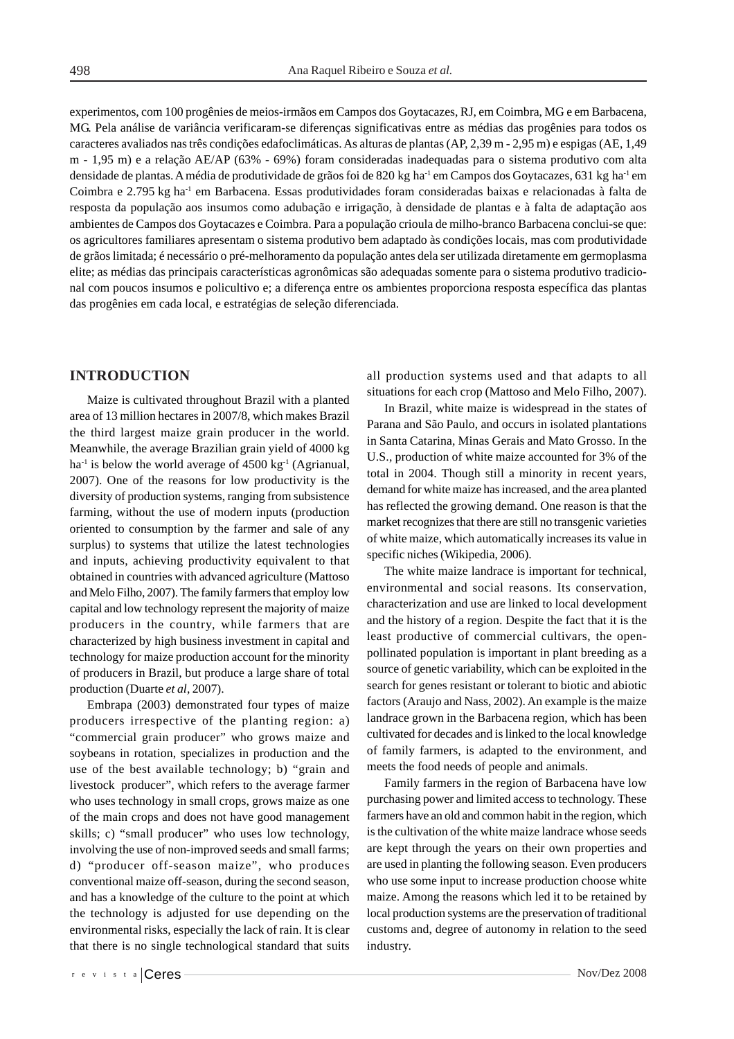experimentos, com 100 progênies de meios-irmãos em Campos dos Goytacazes, RJ, em Coimbra, MG e em Barbacena, MG. Pela análise de variância verificaram-se diferenças significativas entre as médias das progênies para todos os caracteres avaliados nas três condições edafoclimáticas. As alturas de plantas (AP, 2,39 m - 2,95 m) e espigas (AE, 1,49 m - 1,95 m) e a relação AE/AP (63% - 69%) foram consideradas inadequadas para o sistema produtivo com alta densidade de plantas. A média de produtividade de grãos foi de 820 kg ha<sup>-1</sup> em Campos dos Goytacazes, 631 kg ha<sup>-1</sup> em Coimbra e 2.795 kg ha-1 em Barbacena. Essas produtividades foram consideradas baixas e relacionadas à falta de resposta da população aos insumos como adubação e irrigação, à densidade de plantas e à falta de adaptação aos ambientes de Campos dos Goytacazes e Coimbra. Para a população crioula de milho-branco Barbacena conclui-se que: os agricultores familiares apresentam o sistema produtivo bem adaptado às condições locais, mas com produtividade de grãos limitada; é necessário o pré-melhoramento da população antes dela ser utilizada diretamente em germoplasma elite; as médias das principais características agronômicas são adequadas somente para o sistema produtivo tradicional com poucos insumos e policultivo e; a diferença entre os ambientes proporciona resposta específica das plantas das progênies em cada local, e estratégias de seleção diferenciada.

# **INTRODUCTION**

Maize is cultivated throughout Brazil with a planted area of 13 million hectares in 2007/8, which makes Brazil the third largest maize grain producer in the world. Meanwhile, the average Brazilian grain yield of 4000 kg ha<sup>-1</sup> is below the world average of  $4500 \text{ kg}^{-1}$  (Agrianual, 2007). One of the reasons for low productivity is the diversity of production systems, ranging from subsistence farming, without the use of modern inputs (production oriented to consumption by the farmer and sale of any surplus) to systems that utilize the latest technologies and inputs, achieving productivity equivalent to that obtained in countries with advanced agriculture (Mattoso and Melo Filho, 2007). The family farmers that employ low capital and low technology represent the majority of maize producers in the country, while farmers that are characterized by high business investment in capital and technology for maize production account for the minority of producers in Brazil, but produce a large share of total production (Duarte *et al*, 2007).

Embrapa (2003) demonstrated four types of maize producers irrespective of the planting region: a) "commercial grain producer" who grows maize and soybeans in rotation, specializes in production and the use of the best available technology; b) "grain and livestock producer", which refers to the average farmer who uses technology in small crops, grows maize as one of the main crops and does not have good management skills; c) "small producer" who uses low technology, involving the use of non-improved seeds and small farms; d) "producer off-season maize", who produces conventional maize off-season, during the second season, and has a knowledge of the culture to the point at which the technology is adjusted for use depending on the environmental risks, especially the lack of rain. It is clear that there is no single technological standard that suits all production systems used and that adapts to all situations for each crop (Mattoso and Melo Filho, 2007).

In Brazil, white maize is widespread in the states of Parana and São Paulo, and occurs in isolated plantations in Santa Catarina, Minas Gerais and Mato Grosso. In the U.S., production of white maize accounted for 3% of the total in 2004. Though still a minority in recent years, demand for white maize has increased, and the area planted has reflected the growing demand. One reason is that the market recognizes that there are still no transgenic varieties of white maize, which automatically increases its value in specific niches (Wikipedia, 2006).

The white maize landrace is important for technical, environmental and social reasons. Its conservation, characterization and use are linked to local development and the history of a region. Despite the fact that it is the least productive of commercial cultivars, the openpollinated population is important in plant breeding as a source of genetic variability, which can be exploited in the search for genes resistant or tolerant to biotic and abiotic factors (Araujo and Nass, 2002). An example is the maize landrace grown in the Barbacena region, which has been cultivated for decades and is linked to the local knowledge of family farmers, is adapted to the environment, and meets the food needs of people and animals.

Family farmers in the region of Barbacena have low purchasing power and limited access to technology. These farmers have an old and common habit in the region, which is the cultivation of the white maize landrace whose seeds are kept through the years on their own properties and are used in planting the following season. Even producers who use some input to increase production choose white maize. Among the reasons which led it to be retained by local production systems are the preservation of traditional customs and, degree of autonomy in relation to the seed industry.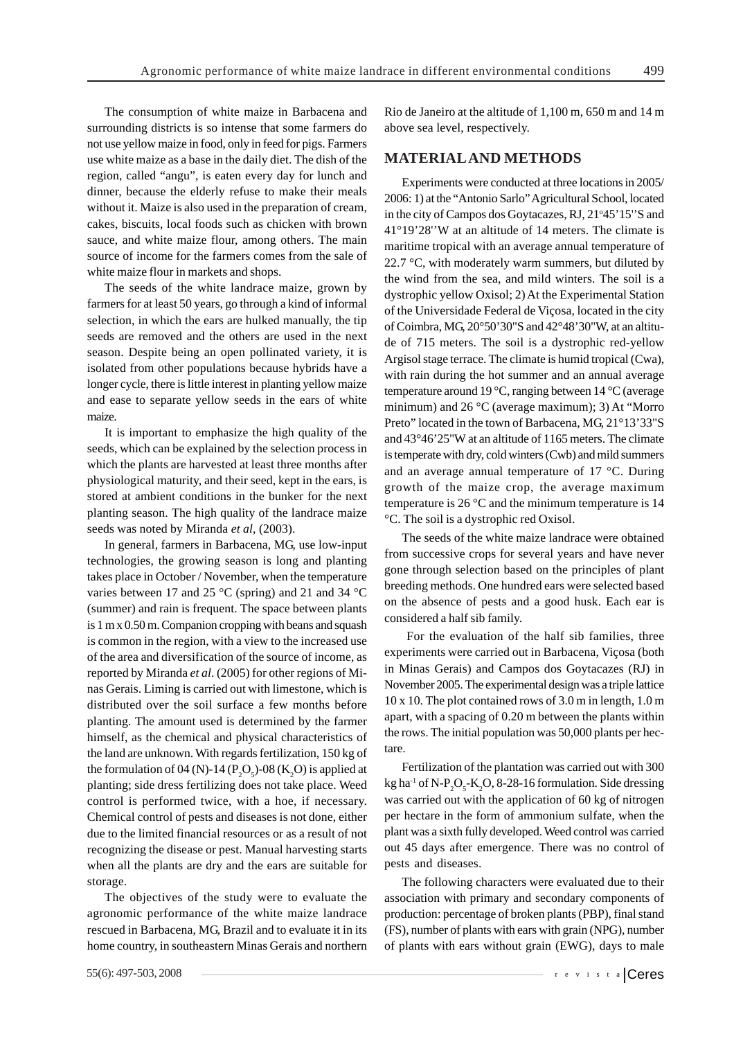The consumption of white maize in Barbacena and surrounding districts is so intense that some farmers do not use yellow maize in food, only in feed for pigs. Farmers use white maize as a base in the daily diet. The dish of the region, called "angu", is eaten every day for lunch and dinner, because the elderly refuse to make their meals without it. Maize is also used in the preparation of cream, cakes, biscuits, local foods such as chicken with brown sauce, and white maize flour, among others. The main source of income for the farmers comes from the sale of white maize flour in markets and shops.

The seeds of the white landrace maize, grown by farmers for at least 50 years, go through a kind of informal selection, in which the ears are hulked manually, the tip seeds are removed and the others are used in the next season. Despite being an open pollinated variety, it is isolated from other populations because hybrids have a longer cycle, there is little interest in planting yellow maize and ease to separate yellow seeds in the ears of white maize.

It is important to emphasize the high quality of the seeds, which can be explained by the selection process in which the plants are harvested at least three months after physiological maturity, and their seed, kept in the ears, is stored at ambient conditions in the bunker for the next planting season. The high quality of the landrace maize seeds was noted by Miranda *et al*, (2003).

In general, farmers in Barbacena, MG, use low-input technologies, the growing season is long and planting takes place in October / November, when the temperature varies between 17 and 25 °C (spring) and 21 and 34 °C (summer) and rain is frequent. The space between plants is 1 m x 0.50 m. Companion cropping with beans and squash is common in the region, with a view to the increased use of the area and diversification of the source of income, as reported by Miranda *et al*. (2005) for other regions of Minas Gerais. Liming is carried out with limestone, which is distributed over the soil surface a few months before planting. The amount used is determined by the farmer himself, as the chemical and physical characteristics of the land are unknown. With regards fertilization, 150 kg of the formulation of 04 (N)-14 ( $P_2O_5$ )-08 (K<sub>2</sub>O) is applied at planting; side dress fertilizing does not take place. Weed control is performed twice, with a hoe, if necessary. Chemical control of pests and diseases is not done, either due to the limited financial resources or as a result of not recognizing the disease or pest. Manual harvesting starts when all the plants are dry and the ears are suitable for storage.

The objectives of the study were to evaluate the agronomic performance of the white maize landrace rescued in Barbacena, MG, Brazil and to evaluate it in its home country, in southeastern Minas Gerais and northern

Rio de Janeiro at the altitude of 1,100 m, 650 m and 14 m above sea level, respectively.

#### **MATERIAL AND METHODS**

Experiments were conducted at three locations in 2005/ 2006: 1) at the "Antonio Sarlo" Agricultural School, located in the city of Campos dos Goytacazes, RJ, 21°45' 15"S and 41°19'28''W at an altitude of 14 meters. The climate is maritime tropical with an average annual temperature of 22.7  $\degree$ C, with moderately warm summers, but diluted by the wind from the sea, and mild winters. The soil is a dystrophic yellow Oxisol; 2) At the Experimental Station of the Universidade Federal de Viçosa, located in the city of Coimbra, MG, 20°50'30"S and 42°48'30"W, at an altitude of 715 meters. The soil is a dystrophic red-yellow Argisol stage terrace. The climate is humid tropical (Cwa), with rain during the hot summer and an annual average temperature around 19 °C, ranging between 14 °C (average minimum) and 26 °C (average maximum); 3) At "Morro Preto" located in the town of Barbacena, MG, 21°13'33"S and 43°46'25"W at an altitude of 1165 meters. The climate is temperate with dry, cold winters (Cwb) and mild summers and an average annual temperature of 17 °C. During growth of the maize crop, the average maximum temperature is 26 °C and the minimum temperature is 14 °C. The soil is a dystrophic red Oxisol.

The seeds of the white maize landrace were obtained from successive crops for several years and have never gone through selection based on the principles of plant breeding methods. One hundred ears were selected based on the absence of pests and a good husk. Each ear is considered a half sib family.

 For the evaluation of the half sib families, three experiments were carried out in Barbacena, Viçosa (both in Minas Gerais) and Campos dos Goytacazes (RJ) in November 2005. The experimental design was a triple lattice 10 x 10. The plot contained rows of 3.0 m in length, 1.0 m apart, with a spacing of 0.20 m between the plants within the rows. The initial population was 50,000 plants per hectare.

Fertilization of the plantation was carried out with 300 kg ha<sup>-1</sup> of N-P<sub>2</sub>O<sub>5</sub>-K<sub>2</sub>O, 8-28-16 formulation. Side dressing was carried out with the application of 60 kg of nitrogen per hectare in the form of ammonium sulfate, when the plant was a sixth fully developed. Weed control was carried out 45 days after emergence. There was no control of pests and diseases.

The following characters were evaluated due to their association with primary and secondary components of production: percentage of broken plants (PBP), final stand (FS), number of plants with ears with grain (NPG), number of plants with ears without grain (EWG), days to male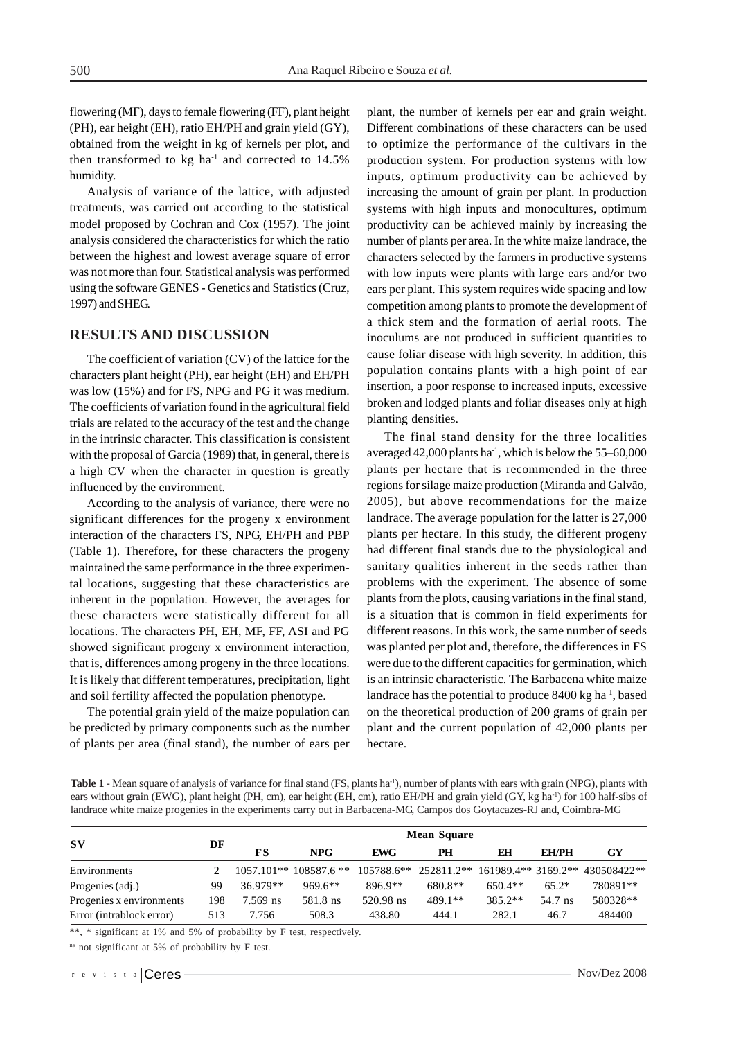flowering (MF), days to female flowering (FF), plant height (PH), ear height (EH), ratio EH/PH and grain yield (GY), obtained from the weight in kg of kernels per plot, and then transformed to kg ha<sup>-1</sup> and corrected to  $14.5\%$ humidity.

Analysis of variance of the lattice, with adjusted treatments, was carried out according to the statistical model proposed by Cochran and Cox (1957). The joint analysis considered the characteristics for which the ratio between the highest and lowest average square of error was not more than four. Statistical analysis was performed using the software GENES - Genetics and Statistics (Cruz, 1997) and SHEG.

## **RESULTS AND DISCUSSION**

The coefficient of variation (CV) of the lattice for the characters plant height (PH), ear height (EH) and EH/PH was low (15%) and for FS, NPG and PG it was medium. The coefficients of variation found in the agricultural field trials are related to the accuracy of the test and the change in the intrinsic character. This classification is consistent with the proposal of Garcia (1989) that, in general, there is a high CV when the character in question is greatly influenced by the environment.

According to the analysis of variance, there were no significant differences for the progeny x environment interaction of the characters FS, NPG, EH/PH and PBP (Table 1). Therefore, for these characters the progeny maintained the same performance in the three experimental locations, suggesting that these characteristics are inherent in the population. However, the averages for these characters were statistically different for all locations. The characters PH, EH, MF, FF, ASI and PG showed significant progeny x environment interaction, that is, differences among progeny in the three locations. It is likely that different temperatures, precipitation, light and soil fertility affected the population phenotype.

The potential grain yield of the maize population can be predicted by primary components such as the number of plants per area (final stand), the number of ears per plant, the number of kernels per ear and grain weight. Different combinations of these characters can be used to optimize the performance of the cultivars in the production system. For production systems with low inputs, optimum productivity can be achieved by increasing the amount of grain per plant. In production systems with high inputs and monocultures, optimum productivity can be achieved mainly by increasing the number of plants per area. In the white maize landrace, the characters selected by the farmers in productive systems with low inputs were plants with large ears and/or two ears per plant. This system requires wide spacing and low competition among plants to promote the development of a thick stem and the formation of aerial roots. The inoculums are not produced in sufficient quantities to cause foliar disease with high severity. In addition, this population contains plants with a high point of ear insertion, a poor response to increased inputs, excessive broken and lodged plants and foliar diseases only at high planting densities.

The final stand density for the three localities averaged 42,000 plants ha<sup>-1</sup>, which is below the  $55-60,000$ plants per hectare that is recommended in the three regions for silage maize production (Miranda and Galvão, 2005), but above recommendations for the maize landrace. The average population for the latter is 27,000 plants per hectare. In this study, the different progeny had different final stands due to the physiological and sanitary qualities inherent in the seeds rather than problems with the experiment. The absence of some plants from the plots, causing variations in the final stand, is a situation that is common in field experiments for different reasons. In this work, the same number of seeds was planted per plot and, therefore, the differences in FS were due to the different capacities for germination, which is an intrinsic characteristic. The Barbacena white maize landrace has the potential to produce 8400 kg ha<sup>-1</sup>, based on the theoretical production of 200 grams of grain per plant and the current population of 42,000 plants per hectare.

Table 1 - Mean square of analysis of variance for final stand (FS, plants ha<sup>-1</sup>), number of plants with ears with grain (NPG), plants with ears without grain (EWG), plant height (PH, cm), ear height (EH, cm), ratio EH/PH and grain yield (GY, kg ha<sup>-1</sup>) for 100 half-sibs of landrace white maize progenies in the experiments carry out in Barbacena-MG, Campos dos Goytacazes-RJ and, Coimbra-MG

| $S_{\rm V}$              | DF  | <b>Mean Square</b> |                          |            |         |           |              |                                                       |  |
|--------------------------|-----|--------------------|--------------------------|------------|---------|-----------|--------------|-------------------------------------------------------|--|
|                          |     | FS                 | <b>NPG</b>               | <b>EWG</b> | PH      | ЕH        | <b>EH/PH</b> | GY                                                    |  |
| Environments             |     |                    | $1057.101**$ 108587.6 ** |            |         |           |              | 105788.6** 252811.2** 161989.4** 3169.2** 430508422** |  |
| Progenies (adj.)         | 99  | 36.979**           | $969.6**$                | 896.9**    | 680.8** | $650.4**$ | $65.2*$      | 780891**                                              |  |
| Progenies x environments | 198 | 7.569 ns           | 581.8 ns                 | 520.98 ns  | 489.1** | $385.2**$ | 54.7 ns      | 580328**                                              |  |
| Error (intrablock error) | 513 | 7.756              | 508.3                    | 438.80     | 444.1   | 282.1     | 46.7         | 484400                                                |  |

\*\*, \* significant at 1% and 5% of probability by F test, respectively.

ns not significant at 5% of probability by F test.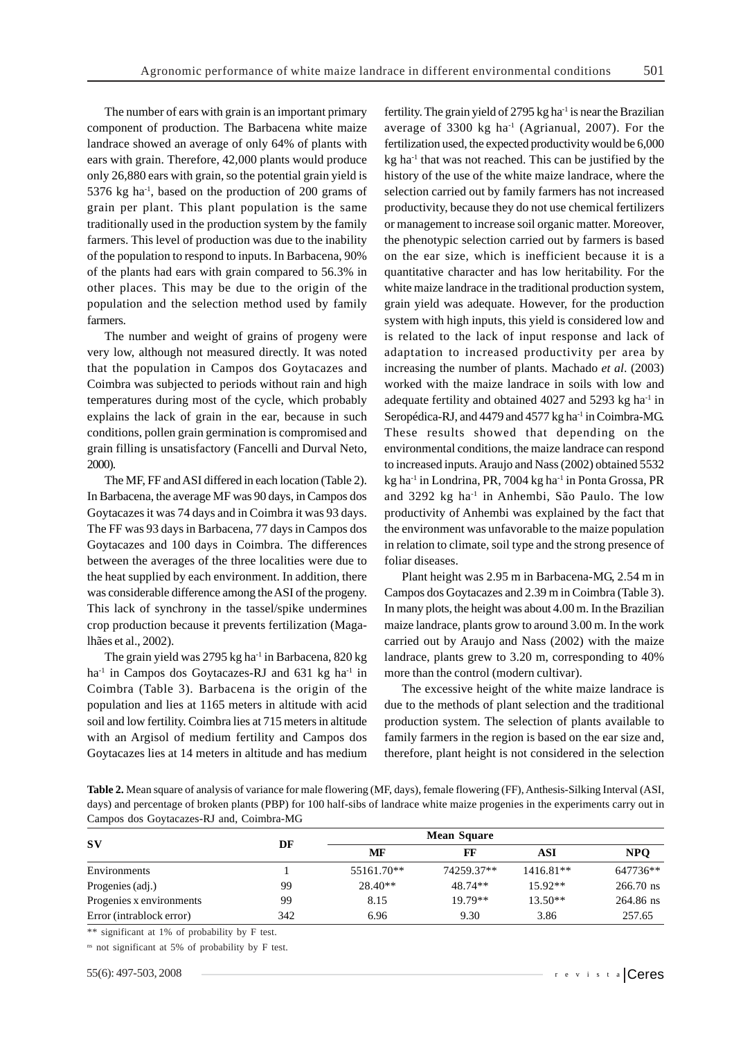The number of ears with grain is an important primary component of production. The Barbacena white maize landrace showed an average of only 64% of plants with ears with grain. Therefore, 42,000 plants would produce only 26,880 ears with grain, so the potential grain yield is 5376 kg ha $^{-1}$ , based on the production of 200 grams of grain per plant. This plant population is the same traditionally used in the production system by the family farmers. This level of production was due to the inability of the population to respond to inputs. In Barbacena, 90% of the plants had ears with grain compared to 56.3% in other places. This may be due to the origin of the population and the selection method used by family farmers.

The number and weight of grains of progeny were very low, although not measured directly. It was noted that the population in Campos dos Goytacazes and Coimbra was subjected to periods without rain and high temperatures during most of the cycle, which probably explains the lack of grain in the ear, because in such conditions, pollen grain germination is compromised and grain filling is unsatisfactory (Fancelli and Durval Neto, 2000).

The MF, FF and ASI differed in each location (Table 2). In Barbacena, the average MF was 90 days, in Campos dos Goytacazes it was 74 days and in Coimbra it was 93 days. The FF was 93 days in Barbacena, 77 days in Campos dos Goytacazes and 100 days in Coimbra. The differences between the averages of the three localities were due to the heat supplied by each environment. In addition, there was considerable difference among the ASI of the progeny. This lack of synchrony in the tassel/spike undermines crop production because it prevents fertilization (Magalhães et al., 2002).

The grain yield was 2795 kg ha $^{-1}$  in Barbacena, 820 kg ha<sup>-1</sup> in Campos dos Goytacazes-RJ and  $631$  kg ha<sup>-1</sup> in Coimbra (Table 3). Barbacena is the origin of the population and lies at 1165 meters in altitude with acid soil and low fertility. Coimbra lies at 715 meters in altitude with an Argisol of medium fertility and Campos dos Goytacazes lies at 14 meters in altitude and has medium fertility. The grain yield of 2795 kg ha $^{-1}$  is near the Brazilian average of  $3300 \text{ kg}$  ha<sup>-1</sup> (Agrianual, 2007). For the fertilization used, the expected productivity would be 6,000  $kg$  ha $^{-1}$  that was not reached. This can be justified by the history of the use of the white maize landrace, where the selection carried out by family farmers has not increased productivity, because they do not use chemical fertilizers or management to increase soil organic matter. Moreover, the phenotypic selection carried out by farmers is based on the ear size, which is inefficient because it is a quantitative character and has low heritability. For the white maize landrace in the traditional production system, grain yield was adequate. However, for the production system with high inputs, this yield is considered low and is related to the lack of input response and lack of adaptation to increased productivity per area by increasing the number of plants. Machado *et al*. (2003) worked with the maize landrace in soils with low and adequate fertility and obtained 4027 and 5293 kg ha<sup>-1</sup> in Seropédica-RJ, and 4479 and 4577 kg ha<sup>-1</sup> in Coimbra-MG. These results showed that depending on the environmental conditions, the maize landrace can respond to increased inputs. Araujo and Nass (2002) obtained 5532 kg ha $^{-1}$  in Londrina, PR, 7004 kg ha $^{-1}$  in Ponta Grossa, PR and 3292 kg ha-1 in Anhembi, São Paulo. The low productivity of Anhembi was explained by the fact that the environment was unfavorable to the maize population in relation to climate, soil type and the strong presence of foliar diseases.

Plant height was 2.95 m in Barbacena-MG, 2.54 m in Campos dos Goytacazes and 2.39 m in Coimbra (Table 3). In many plots, the height was about 4.00 m. In the Brazilian maize landrace, plants grow to around 3.00 m. In the work carried out by Araujo and Nass (2002) with the maize landrace, plants grew to 3.20 m, corresponding to 40% more than the control (modern cultivar).

The excessive height of the white maize landrace is due to the methods of plant selection and the traditional production system. The selection of plants available to family farmers in the region is based on the ear size and, therefore, plant height is not considered in the selection

**Table 2.** Mean square of analysis of variance for male flowering (MF, days), female flowering (FF), Anthesis-Silking Interval (ASI, days) and percentage of broken plants (PBP) for 100 half-sibs of landrace white maize progenies in the experiments carry out in Campos dos Goytacazes-RJ and, Coimbra-MG

| $S_{\bf V}$              | DF  | MF         | FF         | ASI         | <b>NPO</b>  |
|--------------------------|-----|------------|------------|-------------|-------------|
| Environments             |     | 55161.70** | 74259.37** | $1416.81**$ | 647736**    |
| Progenies (adj.)         | 99  | $28.40**$  | 48.74**    | $15.92**$   | $266.70$ ns |
| Progenies x environments | 99  | 8.15       | 19.79**    | $13.50**$   | 264.86 ns   |
| Error (intrablock error) | 342 | 6.96       | 9.30       | 3.86        | 257.65      |

\*\* significant at 1% of probability by F test.

ns not significant at 5% of probability by F test.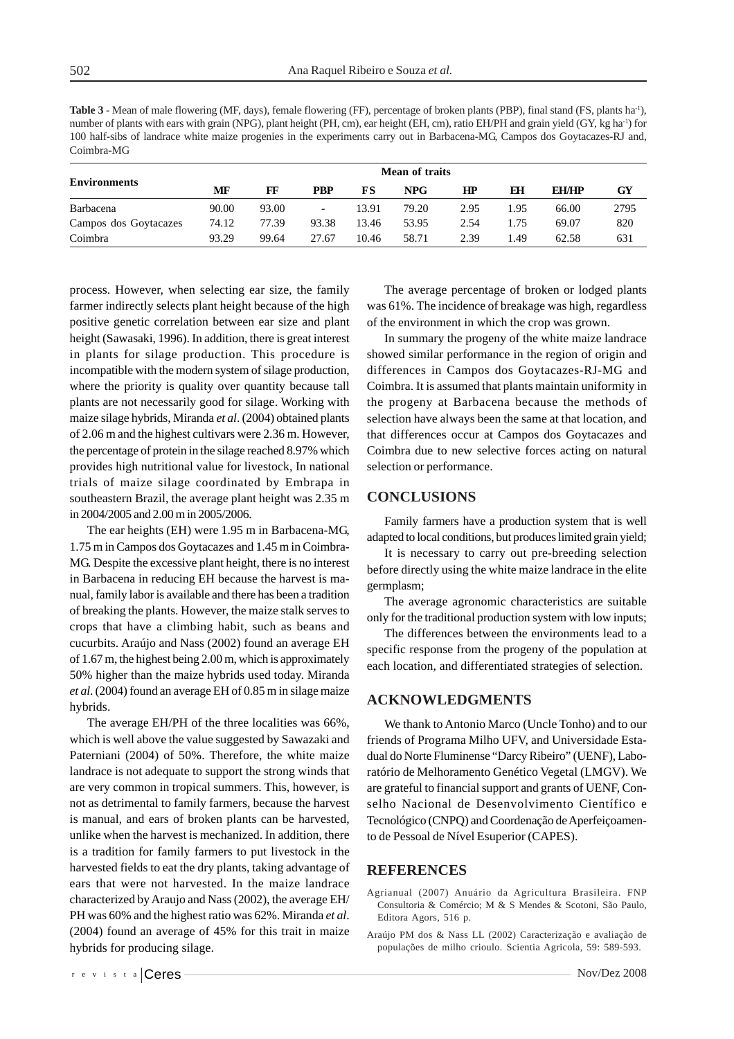**Table 3** - Mean of male flowering (MF, days), female flowering (FF), percentage of broken plants (PBP), final stand (FS, plants ha-1), number of plants with ears with grain (NPG), plant height (PH, cm), ear height (EH, cm), ratio EH/PH and grain yield (GY, kg ha<sup>-1</sup>) for 100 half-sibs of landrace white maize progenies in the experiments carry out in Barbacena-MG, Campos dos Goytacazes-RJ and, Coimbra-MG

| <b>Environments</b>   | Mean of traits |       |                          |       |       |      |      |              |      |
|-----------------------|----------------|-------|--------------------------|-------|-------|------|------|--------------|------|
|                       | MF             | FF    | <b>PBP</b>               | FS    | NPG-  | HP   | ЕH   | <b>EH/HP</b> | GY   |
| Barbacena             | 90.00          | 93.00 | $\overline{\phantom{a}}$ | 13.91 | 79.20 | 2.95 | 1.95 | 66.00        | 2795 |
| Campos dos Goytacazes | 74.12          | 77.39 | 93.38                    | 13.46 | 53.95 | 2.54 | 1.75 | 69.07        | 820  |
| Coimbra               | 93.29          | 99.64 | 27.67                    | 10.46 | 58.71 | 2.39 | 1.49 | 62.58        | 631  |

process. However, when selecting ear size, the family farmer indirectly selects plant height because of the high positive genetic correlation between ear size and plant height (Sawasaki, 1996). In addition, there is great interest in plants for silage production. This procedure is incompatible with the modern system of silage production, where the priority is quality over quantity because tall plants are not necessarily good for silage. Working with maize silage hybrids, Miranda *et al*. (2004) obtained plants of 2.06 m and the highest cultivars were 2.36 m. However, the percentage of protein in the silage reached 8.97% which provides high nutritional value for livestock, In national trials of maize silage coordinated by Embrapa in southeastern Brazil, the average plant height was 2.35 m in 2004/2005 and 2.00 m in 2005/2006.

The ear heights (EH) were 1.95 m in Barbacena-MG, 1.75 m in Campos dos Goytacazes and 1.45 m in Coimbra-MG. Despite the excessive plant height, there is no interest in Barbacena in reducing EH because the harvest is manual, family labor is available and there has been a tradition of breaking the plants. However, the maize stalk serves to crops that have a climbing habit, such as beans and cucurbits. Araújo and Nass (2002) found an average EH of 1.67 m, the highest being 2.00 m, which is approximately 50% higher than the maize hybrids used today. Miranda *et al*. (2004) found an average EH of 0.85 m in silage maize hybrids.

The average EH/PH of the three localities was 66%, which is well above the value suggested by Sawazaki and Paterniani (2004) of 50%. Therefore, the white maize landrace is not adequate to support the strong winds that are very common in tropical summers. This, however, is not as detrimental to family farmers, because the harvest is manual, and ears of broken plants can be harvested, unlike when the harvest is mechanized. In addition, there is a tradition for family farmers to put livestock in the harvested fields to eat the dry plants, taking advantage of ears that were not harvested. In the maize landrace characterized by Araujo and Nass (2002), the average EH/ PH was 60% and the highest ratio was 62%. Miranda *et al*. (2004) found an average of 45% for this trait in maize hybrids for producing silage.

The average percentage of broken or lodged plants was 61%. The incidence of breakage was high, regardless of the environment in which the crop was grown.

In summary the progeny of the white maize landrace showed similar performance in the region of origin and differences in Campos dos Goytacazes-RJ-MG and Coimbra. It is assumed that plants maintain uniformity in the progeny at Barbacena because the methods of selection have always been the same at that location, and that differences occur at Campos dos Goytacazes and Coimbra due to new selective forces acting on natural selection or performance.

#### **CONCLUSIONS**

Family farmers have a production system that is well adapted to local conditions, but produces limited grain yield;

It is necessary to carry out pre-breeding selection before directly using the white maize landrace in the elite germplasm;

The average agronomic characteristics are suitable only for the traditional production system with low inputs;

The differences between the environments lead to a specific response from the progeny of the population at each location, and differentiated strategies of selection.

### **ACKNOWLEDGMENTS**

We thank to Antonio Marco (Uncle Tonho) and to our friends of Programa Milho UFV, and Universidade Estadual do Norte Fluminense "Darcy Ribeiro" (UENF), Laboratório de Melhoramento Genético Vegetal (LMGV). We are grateful to financial support and grants of UENF, Conselho Nacional de Desenvolvimento Científico e Tecnológico (CNPQ) and Coordenação de Aperfeiçoamento de Pessoal de Nível Esuperior (CAPES).

## **REFERENCES**

- Agrianual (2007) Anuário da Agricultura Brasileira. FNP Consultoria & Comércio; M & S Mendes & Scotoni, São Paulo, Editora Agors, 516 p.
- Araújo PM dos & Nass LL (2002) Caracterização e avaliação de populações de milho crioulo. Scientia Agricola, 59: 589-593.